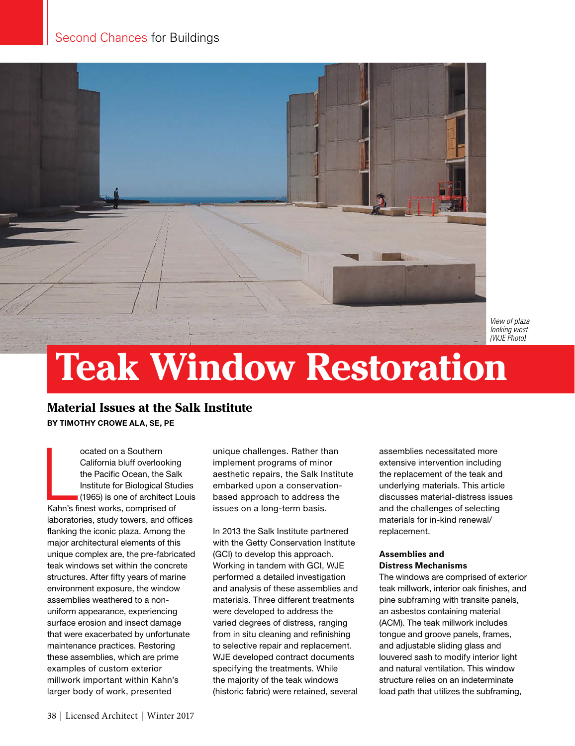

*View of plaza looking west (WJE Photo).*

# **Teak Window Restoration**

## **Material Issues at the Salk Institute**

BY TIMOTHY CROWE ALA, SE, PE

ocated on a Southern<br>
California bluff overlooking<br>
the Pacific Ocean, the Sal<br>
Institute for Biological Stu<br>
(1965) is one of architect L<br>
Kahn's finest works, comprised of ocated on a Southern California bluff overlooking the Pacific Ocean, the Salk Institute for Biological Studies (1965) is one of architect Louis laboratories, study towers, and offices flanking the iconic plaza. Among the major architectural elements of this unique complex are, the pre-fabricated teak windows set within the concrete structures. After fifty years of marine environment exposure, the window assemblies weathered to a nonuniform appearance, experiencing surface erosion and insect damage that were exacerbated by unfortunate maintenance practices. Restoring these assemblies, which are prime examples of custom exterior millwork important within Kahn's larger body of work, presented

unique challenges. Rather than implement programs of minor aesthetic repairs, the Salk Institute embarked upon a conservationbased approach to address the issues on a long-term basis.

In 2013 the Salk Institute partnered with the Getty Conservation Institute (GCI) to develop this approach. Working in tandem with GCI, WJE performed a detailed investigation and analysis of these assemblies and materials. Three different treatments were developed to address the varied degrees of distress, ranging from in situ cleaning and refinishing to selective repair and replacement. WJE developed contract documents specifying the treatments. While the majority of the teak windows (historic fabric) were retained, several assemblies necessitated more extensive intervention including the replacement of the teak and underlying materials. This article discusses material-distress issues and the challenges of selecting materials for in-kind renewal/ replacement.

### **Assemblies and Distress Mechanisms**

The windows are comprised of exterior teak millwork, interior oak finishes, and pine subframing with transite panels, an asbestos containing material (ACM). The teak millwork includes tongue and groove panels, frames, and adjustable sliding glass and louvered sash to modify interior light and natural ventilation. This window structure relies on an indeterminate load path that utilizes the subframing,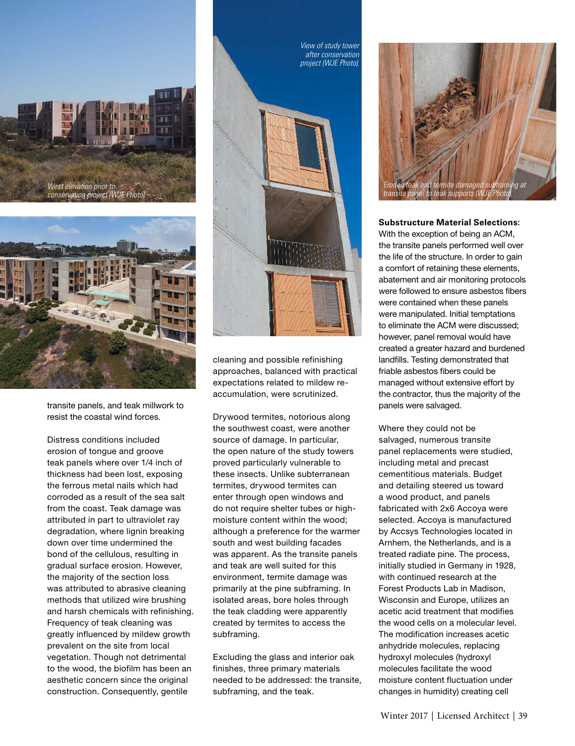



transite panels, and teak millwork to resist the coastal wind forces.

Distress conditions included erosion of tongue and groove teak panels where over 1/4 inch of thickness had been lost, exposing the ferrous metal nails which had corroded as a result of the sea salt from the coast. Teak damage was attributed in part to ultraviolet ray degradation, where lignin breaking down over time undermined the bond of the cellulous, resulting in gradual surface erosion. However, the majority of the section loss was attributed to abrasive cleaning methods that utilized wire brushing and harsh chemicals with refinishing. Frequency of teak cleaning was greatly influenced by mildew growth prevalent on the site from local vegetation. Though not detrimental to the wood, the biofilm has been an aesthetic concern since the original construction. Consequently, gentile



cleaning and possible refinishing approaches, balanced with practical expectations related to mildew reaccumulation, were scrutinized.

Drywood termites, notorious along the southwest coast, were another source of damage. In particular, the open nature of the study towers proved particularly vulnerable to these insects. Unlike subterranean termites, drywood termites can enter through open windows and do not require shelter tubes or highmoisture content within the wood; although a preference for the warmer south and west building facades was apparent. As the transite panels and teak are well suited for this environment, termite damage was primarily at the pine subframing. In isolated areas, bore holes through the teak cladding were apparently created by termites to access the subframing.

Excluding the glass and interior oak finishes, three primary materials needed to be addressed: the transite, subframing, and the teak.



**Substructure Material Selections:** With the exception of being an ACM, the transite panels performed well over the life of the structure. In order to gain a comfort of retaining these elements, abatement and air monitoring protocols were followed to ensure asbestos fibers were contained when these panels were manipulated. Initial temptations to eliminate the ACM were discussed; however, panel removal would have created a greater hazard and burdened landfills. Testing demonstrated that friable asbestos fibers could be managed without extensive effort by the contractor, thus the majority of the panels were salvaged.

Where they could not be salvaged, numerous transite panel replacements were studied, including metal and precast cementitious materials. Budget and detailing steered us toward a wood product, and panels fabricated with 2x6 Accoya were selected. Accoya is manufactured by Accsys Technologies located in Arnhem, the Netherlands, and is a treated radiate pine. The process, initially studied in Germany in 1928, with continued research at the Forest Products Lab in Madison, Wisconsin and Europe, utilizes an acetic acid treatment that modifies the wood cells on a molecular level. The modification increases acetic anhydride molecules, replacing hydroxyl molecules (hydroxyl molecules facilitate the wood moisture content fluctuation under changes in humidity) creating cell